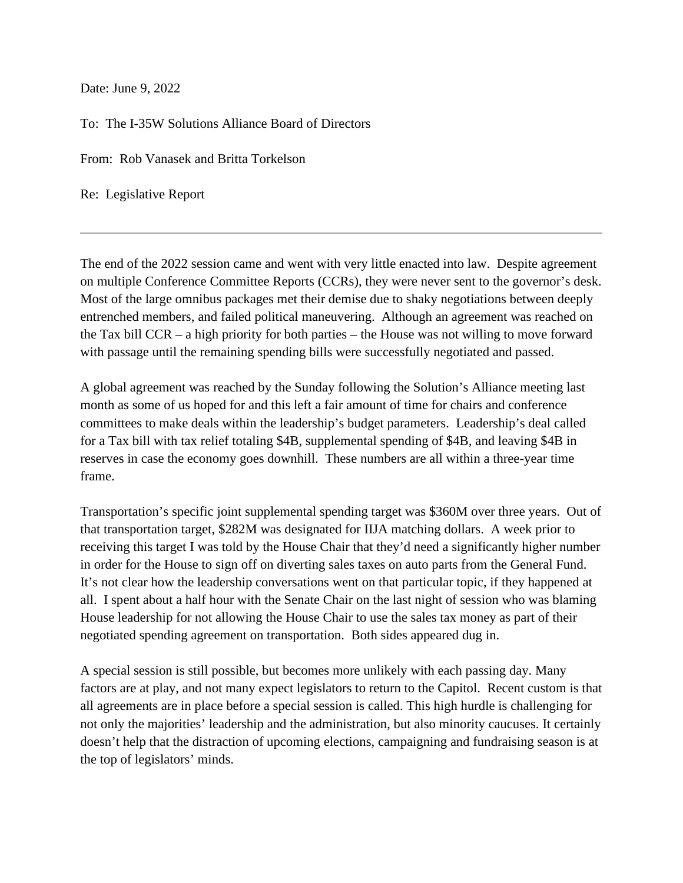Date: June 9, 2022

To: The I-35W Solutions Alliance Board of Directors

From: Rob Vanasek and Britta Torkelson

Re: Legislative Report

The end of the 2022 session came and went with very little enacted into law. Despite agreement on multiple Conference Committee Reports (CCRs), they were never sent to the governor's desk. Most of the large omnibus packages met their demise due to shaky negotiations between deeply entrenched members, and failed political maneuvering. Although an agreement was reached on the Tax bill CCR – a high priority for both parties – the House was not willing to move forward with passage until the remaining spending bills were successfully negotiated and passed.

A global agreement was reached by the Sunday following the Solution's Alliance meeting last month as some of us hoped for and this left a fair amount of time for chairs and conference committees to make deals within the leadership's budget parameters. Leadership's deal called for a Tax bill with tax relief totaling \$4B, supplemental spending of \$4B, and leaving \$4B in reserves in case the economy goes downhill. These numbers are all within a three-year time frame.

Transportation's specific joint supplemental spending target was \$360M over three years. Out of that transportation target, \$282M was designated for IIJA matching dollars. A week prior to receiving this target I was told by the House Chair that they'd need a significantly higher number in order for the House to sign off on diverting sales taxes on auto parts from the General Fund. It's not clear how the leadership conversations went on that particular topic, if they happened at all. I spent about a half hour with the Senate Chair on the last night of session who was blaming House leadership for not allowing the House Chair to use the sales tax money as part of their negotiated spending agreement on transportation. Both sides appeared dug in.

A special session is still possible, but becomes more unlikely with each passing day. Many factors are at play, and not many expect legislators to return to the Capitol. Recent custom is that all agreements are in place before a special session is called. This high hurdle is challenging for not only the majorities' leadership and the administration, but also minority caucuses. It certainly doesn't help that the distraction of upcoming elections, campaigning and fundraising season is at the top of legislators' minds.